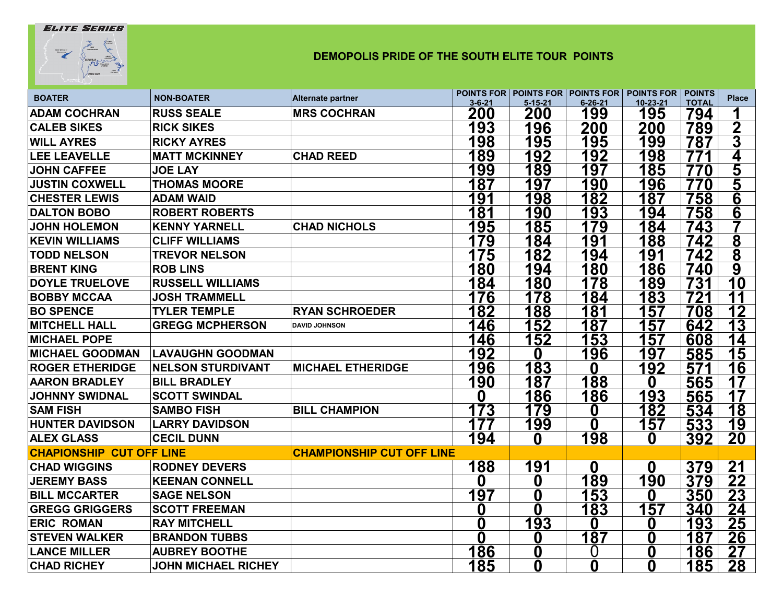## **ELITE SERIES**



## **DEMOPOLIS PRIDE OF THE SOUTH ELITE TOUR POINTS**

| <b>BOATER</b>                   | <b>NON-BOATER</b>          | Alternate partner                | $3 - 6 - 21$ | $5 - 15 - 21$ | $6 - 26 - 21$ | <b>POINTS FOR POINTS FOR POINTS FOR POINTS FOR POINTS</b><br>10-23-21 | <b>TOTAL</b> | <b>Place</b>   |
|---------------------------------|----------------------------|----------------------------------|--------------|---------------|---------------|-----------------------------------------------------------------------|--------------|----------------|
| <b>ADAM COCHRAN</b>             | <b>RUSS SEALE</b>          | <b>MRS COCHRAN</b>               | 200          | 200           | 199           | 195                                                                   | 794          |                |
| <b>CALEB SIKES</b>              | <b>RICK SIKES</b>          |                                  | 193          | 196           | 200           | 200                                                                   | 789          | $\mathbf 2$    |
| <b>WILL AYRES</b>               | <b>RICKY AYRES</b>         |                                  | 198          | 195           | 195           | 199                                                                   | 787          | 3              |
| <b>LEE LEAVELLE</b>             | <b>MATT MCKINNEY</b>       | <b>CHAD REED</b>                 | 89           | 192           | 192           | 198                                                                   | 771          | 4              |
| <b>JOHN CAFFEE</b>              | <b>JOE LAY</b>             |                                  | 199          | 189           | 197           | 185                                                                   | 770          | 5              |
| <b>JUSTIN COXWELL</b>           | <b>THOMAS MOORE</b>        |                                  | 187          | 197           | 190           | 196                                                                   | 770          | <u>5</u>       |
| <b>CHESTER LEWIS</b>            | <b>ADAM WAID</b>           |                                  | 191          | 198           | 182           | 187                                                                   | 758          | 6              |
| <b>DALTON BOBO</b>              | <b>ROBERT ROBERTS</b>      |                                  | 181          | 190           | 193           | 194                                                                   | 758          | $\overline{6}$ |
| <b>JOHN HOLEMON</b>             | <b>KENNY YARNELL</b>       | <b>CHAD NICHOLS</b>              | 195          | 185           | 179           | 184                                                                   | 743          |                |
| <b>KEVIN WILLIAMS</b>           | <b>CLIFF WILLIAMS</b>      |                                  | 179          | 184           | 191           | 188                                                                   | 742          | 8              |
| <b>TODD NELSON</b>              | <b>TREVOR NELSON</b>       |                                  | 175          | 182           | 194           | 191                                                                   | 742          | 8              |
| <b>BRENT KING</b>               | <b>ROB LINS</b>            |                                  | 180          | 194           | 180           | 186                                                                   | 740          | 9              |
| <b>DOYLE TRUELOVE</b>           | <b>RUSSELL WILLIAMS</b>    |                                  | 184          | 180           | 178           | 189                                                                   | <b>731</b>   | 10             |
| <b>BOBBY MCCAA</b>              | <b>JOSH TRAMMELL</b>       |                                  | 176          | 178           | 184           | 183                                                                   | 721          | 11             |
| <b>BO SPENCE</b>                | <b>TYLER TEMPLE</b>        | <b>RYAN SCHROEDER</b>            | 182          | 188           | 181           | 157                                                                   | 708          | 12             |
| <b>MITCHELL HALL</b>            | <b>GREGG MCPHERSON</b>     | <b>DAVID JOHNSON</b>             | 146          | 152           | 187           | 157                                                                   | 642          | 13             |
| <b>MICHAEL POPE</b>             |                            |                                  | 146          | 152           | 153           | 157                                                                   | 608          | 14             |
| <b>MICHAEL GOODMAN</b>          | <b>LAVAUGHN GOODMAN</b>    |                                  | 192          | 0             | 196           | 197                                                                   | 585          | 15             |
| <b>ROGER ETHERIDGE</b>          | <b>NELSON STURDIVANT</b>   | <b>MICHAEL ETHERIDGE</b>         | 196          | 183           | 0             | <u> 192</u>                                                           | 571          | 16             |
| <b>AARON BRADLEY</b>            | <b>BILL BRADLEY</b>        |                                  | 190          | 187           | 188           | 0                                                                     | 565          | 17             |
| <b>JOHNNY SWIDNAL</b>           | <b>SCOTT SWINDAL</b>       |                                  | O            | 186           | <u> 186</u>   | 193                                                                   | 565          | 17             |
| <b>SAM FISH</b>                 | <b>SAMBO FISH</b>          | <b>BILL CHAMPION</b>             | 173          | 179           | 0             | 182                                                                   | 534          | 18             |
| <b>HUNTER DAVIDSON</b>          | <b>LARRY DAVIDSON</b>      |                                  | 177          | 199           | 0             | 157                                                                   | 533          | 19             |
| <b>ALEX GLASS</b>               | <b>CECIL DUNN</b>          |                                  | 194          | 0             | 198           | 0                                                                     | <u>392</u>   | 20             |
| <b>CHAPIONSHIP CUT OFF LINE</b> |                            | <b>CHAMPIONSHIP CUT OFF LINE</b> |              |               |               |                                                                       |              |                |
| <b>CHAD WIGGINS</b>             | <b>RODNEY DEVERS</b>       |                                  | 188          | 191           | 0             | 0                                                                     | 379          | 21             |
| <b>JEREMY BASS</b>              | <b>KEENAN CONNELL</b>      |                                  | 0            | 0             | 189           | 190                                                                   | 379          | 22             |
| <b>BILL MCCARTER</b>            | <b>SAGE NELSON</b>         |                                  | 197          | 0             | 153           | 0                                                                     | 350          | 23             |
| <b>GREGG GRIGGERS</b>           | <b>SCOTT FREEMAN</b>       |                                  | 0            | $\bf{0}$      | 183           | 157                                                                   | 340          | 24             |
| <b>ERIC ROMAN</b>               | <b>RAY MITCHELL</b>        |                                  | 0            | 193           | 0             | 0                                                                     | 193          | 25             |
| <b>STEVEN WALKER</b>            | <b>BRANDON TUBBS</b>       |                                  | 0            | 0             | 187           | 0                                                                     | 187          | 26             |
| <b>LANCE MILLER</b>             | <b>AUBREY BOOTHE</b>       |                                  | 186          | 0             | O             | 0                                                                     | 186          | 27             |
| <b>CHAD RICHEY</b>              | <b>JOHN MICHAEL RICHEY</b> |                                  | <u> 185</u>  | 0             | 0             | 0                                                                     | <u> 185</u>  | <u> 28</u>     |